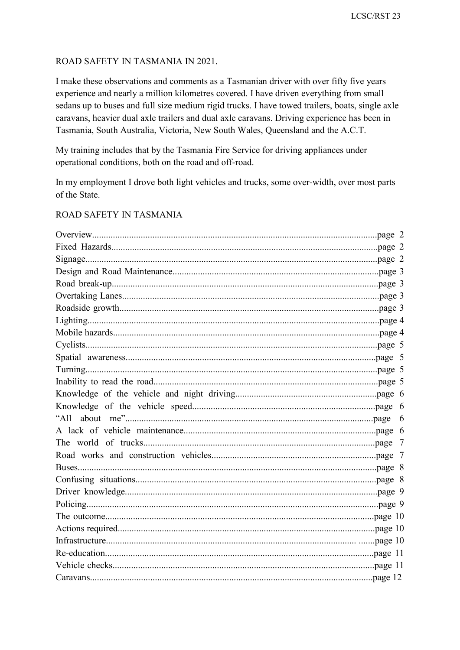### ROAD SAFETY IN TASMANIA IN 2021.

I make these observations and comments as a Tasmanian driver with over fifty five years experience and nearly a million kilometres covered. I have driven everything from small sedans up to buses and full size medium rigid trucks. I have towed trailers, boats, single axle caravans, heavier dual axle trailers and dual axle caravans. Driving experience has been in Tasmania, South Australia, Victoria, New South Wales, Queensland and the A.C.T.

My training includes that by the Tasmania Fire Service for driving appliances under operational conditions, both on the road and off-road.

In my employment I drove both light vehicles and trucks, some over-width, over most parts of the State.

### ROAD SAFETY IN TASMANIA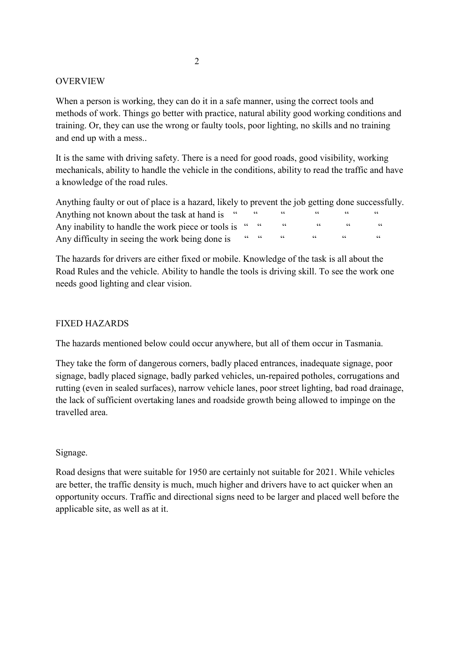### OVERVIEW

When a person is working, they can do it in a safe manner, using the correct tools and methods of work. Things go better with practice, natural ability good working conditions and training. Or, they can use the wrong or faulty tools, poor lighting, no skills and no training and end up with a mess..

It is the same with driving safety. There is a need for good roads, good visibility, working mechanicals, ability to handle the vehicle in the conditions, ability to read the traffic and have a knowledge of the road rules.

Anything faulty or out of place is a hazard, likely to prevent the job getting done successfully. Anything not known about the task at hand is Any inability to handle the work piece or tools is " " " " " " Any difficulty in seeing the work being done is " " " " " "

The hazards for drivers are either fixed or mobile. Knowledge of the task is all about the Road Rules and the vehicle. Ability to handle the tools is driving skill. To see the work one needs good lighting and clear vision.

### FIXED HAZARDS

The hazards mentioned below could occur anywhere, but all of them occur in Tasmania.

They take the form of dangerous corners, badly placed entrances, inadequate signage, poor signage, badly placed signage, badly parked vehicles, un-repaired potholes, corrugations and rutting (even in sealed surfaces), narrow vehicle lanes, poor street lighting, bad road drainage, the lack of sufficient overtaking lanes and roadside growth being allowed to impinge on the travelled area.

### Signage.

Road designs that were suitable for 1950 are certainly not suitable for 2021. While vehicles are better, the traffic density is much, much higher and drivers have to act quicker when an opportunity occurs. Traffic and directional signs need to be larger and placed well before the applicable site, as well as at it.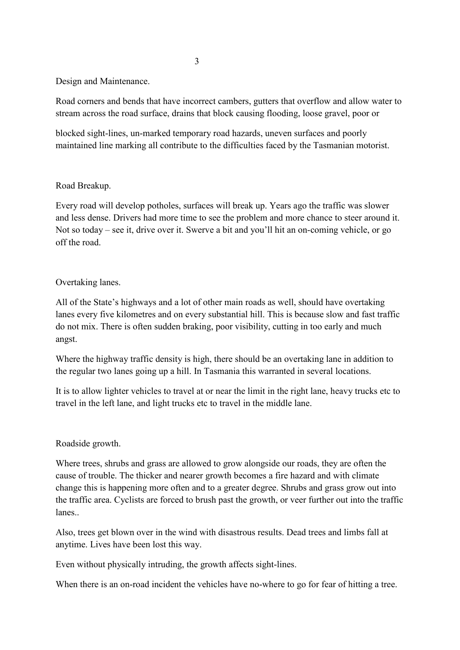Design and Maintenance.

Road corners and bends that have incorrect cambers, gutters that overflow and allow water to stream across the road surface, drains that block causing flooding, loose gravel, poor or

blocked sight-lines, un-marked temporary road hazards, uneven surfaces and poorly maintained line marking all contribute to the difficulties faced by the Tasmanian motorist.

### Road Breakup.

Every road will develop potholes, surfaces will break up. Years ago the traffic was slower and less dense. Drivers had more time to see the problem and more chance to steer around it. Not so today – see it, drive over it. Swerve a bit and you'll hit an on-coming vehicle, or go off the road.

#### Overtaking lanes.

All of the State's highways and a lot of other main roads as well, should have overtaking lanes every five kilometres and on every substantial hill. This is because slow and fast traffic do not mix. There is often sudden braking, poor visibility, cutting in too early and much angst.

Where the highway traffic density is high, there should be an overtaking lane in addition to the regular two lanes going up a hill. In Tasmania this warranted in several locations.

It is to allow lighter vehicles to travel at or near the limit in the right lane, heavy trucks etc to travel in the left lane, and light trucks etc to travel in the middle lane.

#### Roadside growth.

Where trees, shrubs and grass are allowed to grow alongside our roads, they are often the cause of trouble. The thicker and nearer growth becomes a fire hazard and with climate change this is happening more often and to a greater degree. Shrubs and grass grow out into the traffic area. Cyclists are forced to brush past the growth, or veer further out into the traffic lanes..

Also, trees get blown over in the wind with disastrous results. Dead trees and limbs fall at anytime. Lives have been lost this way.

Even without physically intruding, the growth affects sight-lines.

When there is an on-road incident the vehicles have no-where to go for fear of hitting a tree.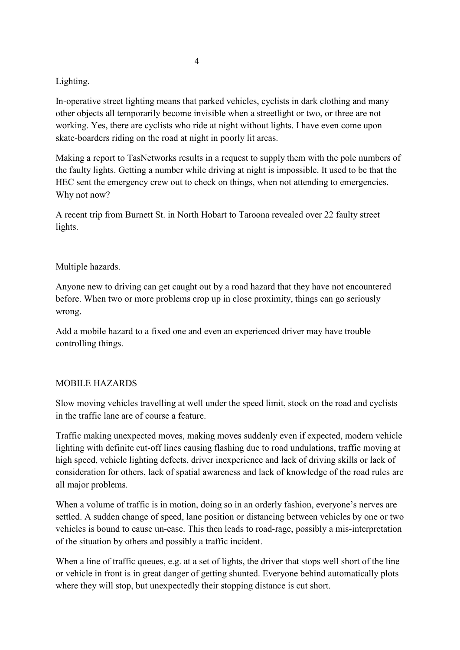## Lighting.

In-operative street lighting means that parked vehicles, cyclists in dark clothing and many other objects all temporarily become invisible when a streetlight or two, or three are not working. Yes, there are cyclists who ride at night without lights. I have even come upon skate-boarders riding on the road at night in poorly lit areas.

Making a report to TasNetworks results in a request to supply them with the pole numbers of the faulty lights. Getting a number while driving at night is impossible. It used to be that the HEC sent the emergency crew out to check on things, when not attending to emergencies. Why not now?

A recent trip from Burnett St. in North Hobart to Taroona revealed over 22 faulty street lights.

## Multiple hazards.

Anyone new to driving can get caught out by a road hazard that they have not encountered before. When two or more problems crop up in close proximity, things can go seriously wrong.

Add a mobile hazard to a fixed one and even an experienced driver may have trouble controlling things.

## MOBILE HAZARDS

Slow moving vehicles travelling at well under the speed limit, stock on the road and cyclists in the traffic lane are of course a feature.

Traffic making unexpected moves, making moves suddenly even if expected, modern vehicle lighting with definite cut-off lines causing flashing due to road undulations, traffic moving at high speed, vehicle lighting defects, driver inexperience and lack of driving skills or lack of consideration for others, lack of spatial awareness and lack of knowledge of the road rules are all major problems.

When a volume of traffic is in motion, doing so in an orderly fashion, everyone's nerves are settled. A sudden change of speed, lane position or distancing between vehicles by one or two vehicles is bound to cause un-ease. This then leads to road-rage, possibly a mis-interpretation of the situation by others and possibly a traffic incident.

When a line of traffic queues, e.g. at a set of lights, the driver that stops well short of the line or vehicle in front is in great danger of getting shunted. Everyone behind automatically plots where they will stop, but unexpectedly their stopping distance is cut short.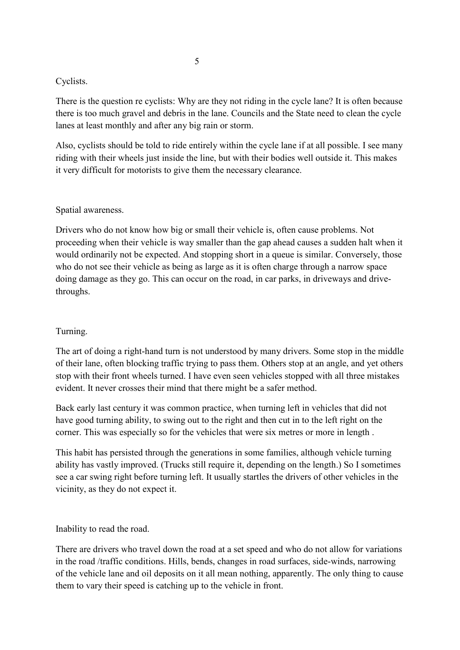### Cyclists.

There is the question re cyclists: Why are they not riding in the cycle lane? It is often because there is too much gravel and debris in the lane. Councils and the State need to clean the cycle lanes at least monthly and after any big rain or storm.

Also, cyclists should be told to ride entirely within the cycle lane if at all possible. I see many riding with their wheels just inside the line, but with their bodies well outside it. This makes it very difficult for motorists to give them the necessary clearance.

### Spatial awareness.

Drivers who do not know how big or small their vehicle is, often cause problems. Not proceeding when their vehicle is way smaller than the gap ahead causes a sudden halt when it would ordinarily not be expected. And stopping short in a queue is similar. Conversely, those who do not see their vehicle as being as large as it is often charge through a narrow space doing damage as they go. This can occur on the road, in car parks, in driveways and drivethroughs.

### Turning.

The art of doing a right-hand turn is not understood by many drivers. Some stop in the middle of their lane, often blocking traffic trying to pass them. Others stop at an angle, and yet others stop with their front wheels turned. I have even seen vehicles stopped with all three mistakes evident. It never crosses their mind that there might be a safer method.

Back early last century it was common practice, when turning left in vehicles that did not have good turning ability, to swing out to the right and then cut in to the left right on the corner. This was especially so for the vehicles that were six metres or more in length .

This habit has persisted through the generations in some families, although vehicle turning ability has vastly improved. (Trucks still require it, depending on the length.) So I sometimes see a car swing right before turning left. It usually startles the drivers of other vehicles in the vicinity, as they do not expect it.

Inability to read the road.

There are drivers who travel down the road at a set speed and who do not allow for variations in the road /traffic conditions. Hills, bends, changes in road surfaces, side-winds, narrowing of the vehicle lane and oil deposits on it all mean nothing, apparently. The only thing to cause them to vary their speed is catching up to the vehicle in front.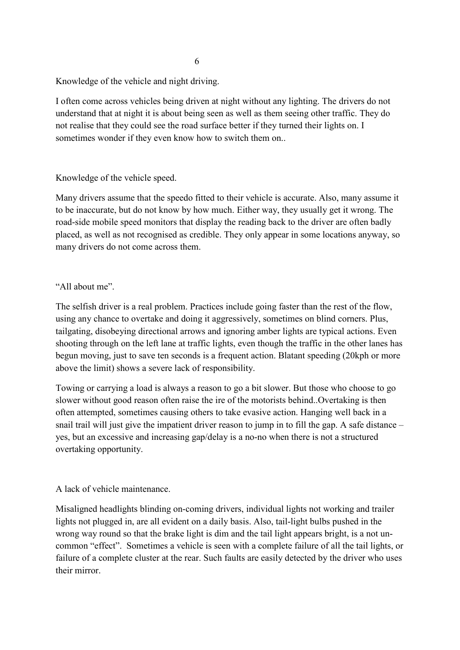Knowledge of the vehicle and night driving.

I often come across vehicles being driven at night without any lighting. The drivers do not understand that at night it is about being seen as well as them seeing other traffic. They do not realise that they could see the road surface better if they turned their lights on. I sometimes wonder if they even know how to switch them on..

Knowledge of the vehicle speed.

Many drivers assume that the speedo fitted to their vehicle is accurate. Also, many assume it to be inaccurate, but do not know by how much. Either way, they usually get it wrong. The road-side mobile speed monitors that display the reading back to the driver are often badly placed, as well as not recognised as credible. They only appear in some locations anyway, so many drivers do not come across them.

## "All about me".

The selfish driver is a real problem. Practices include going faster than the rest of the flow, using any chance to overtake and doing it aggressively, sometimes on blind corners. Plus, tailgating, disobeying directional arrows and ignoring amber lights are typical actions. Even shooting through on the left lane at traffic lights, even though the traffic in the other lanes has begun moving, just to save ten seconds is a frequent action. Blatant speeding (20kph or more above the limit) shows a severe lack of responsibility.

Towing or carrying a load is always a reason to go a bit slower. But those who choose to go slower without good reason often raise the ire of the motorists behind..Overtaking is then often attempted, sometimes causing others to take evasive action. Hanging well back in a snail trail will just give the impatient driver reason to jump in to fill the gap. A safe distance – yes, but an excessive and increasing gap/delay is a no-no when there is not a structured overtaking opportunity.

## A lack of vehicle maintenance.

Misaligned headlights blinding on-coming drivers, individual lights not working and trailer lights not plugged in, are all evident on a daily basis. Also, tail-light bulbs pushed in the wrong way round so that the brake light is dim and the tail light appears bright, is a not uncommon "effect". Sometimes a vehicle is seen with a complete failure of all the tail lights, or failure of a complete cluster at the rear. Such faults are easily detected by the driver who uses their mirror.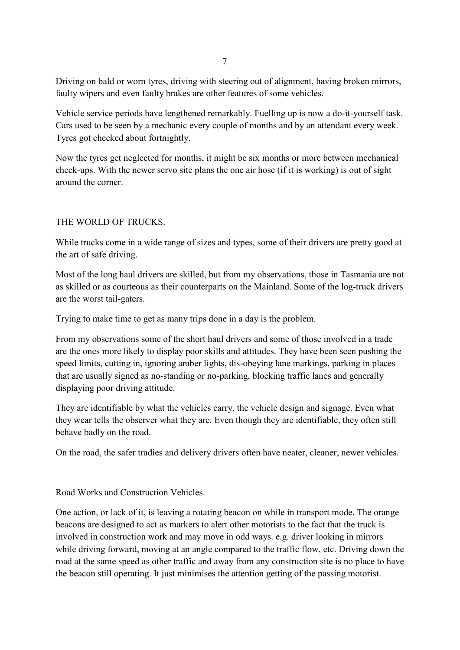Driving on bald or worn tyres, driving with steering out of alignment, having broken mirrors, faulty wipers and even faulty brakes are other features of some vehicles.

Vehicle service periods have lengthened remarkably. Fuelling up is now a do-it-yourself task. Cars used to be seen by a mechanic every couple of months and by an attendant every week. Tyres got checked about fortnightly.

Now the tyres get neglected for months, it might be six months or more between mechanical check-ups. With the newer servo site plans the one air hose (if it is working) is out of sight around the corner.

## THE WORLD OF TRUCKS.

While trucks come in a wide range of sizes and types, some of their drivers are pretty good at the art of safe driving.

Most of the long haul drivers are skilled, but from my observations, those in Tasmania are not as skilled or as courteous as their counterparts on the Mainland. Some of the log-truck drivers are the worst tail-gaters.

Trying to make time to get as many trips done in a day is the problem.

From my observations some of the short haul drivers and some of those involved in a trade are the ones more likely to display poor skills and attitudes. They have been seen pushing the speed limits, cutting in, ignoring amber lights, dis-obeying lane markings, parking in places that are usually signed as no-standing or no-parking, blocking traffic lanes and generally displaying poor driving attitude.

They are identifiable by what the vehicles carry, the vehicle design and signage. Even what they wear tells the observer what they are. Even though they are identifiable, they often still behave badly on the road.

On the road, the safer tradies and delivery drivers often have neater, cleaner, newer vehicles.

Road Works and Construction Vehicles.

One action, or lack of it, is leaving a rotating beacon on while in transport mode. The orange beacons are designed to act as markers to alert other motorists to the fact that the truck is involved in construction work and may move in odd ways. e.g. driver looking in mirrors while driving forward, moving at an angle compared to the traffic flow, etc. Driving down the road at the same speed as other traffic and away from any construction site is no place to have the beacon still operating. It just minimises the attention getting of the passing motorist.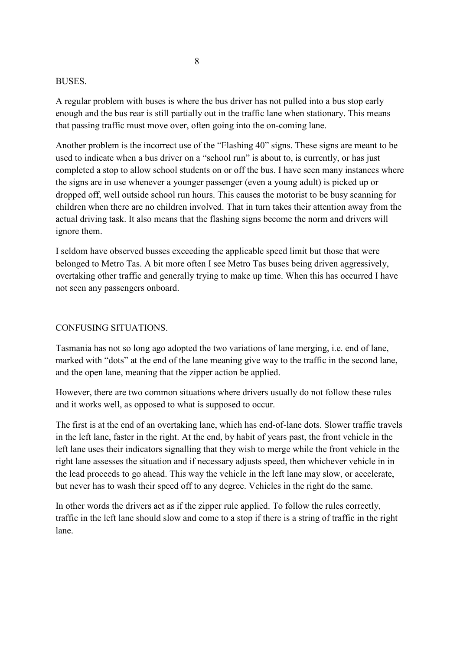#### BUSES.

A regular problem with buses is where the bus driver has not pulled into a bus stop early enough and the bus rear is still partially out in the traffic lane when stationary. This means that passing traffic must move over, often going into the on-coming lane.

Another problem is the incorrect use of the "Flashing 40" signs. These signs are meant to be used to indicate when a bus driver on a "school run" is about to, is currently, or has just completed a stop to allow school students on or off the bus. I have seen many instances where the signs are in use whenever a younger passenger (even a young adult) is picked up or dropped off, well outside school run hours. This causes the motorist to be busy scanning for children when there are no children involved. That in turn takes their attention away from the actual driving task. It also means that the flashing signs become the norm and drivers will ignore them.

I seldom have observed busses exceeding the applicable speed limit but those that were belonged to Metro Tas. A bit more often I see Metro Tas buses being driven aggressively, overtaking other traffic and generally trying to make up time. When this has occurred I have not seen any passengers onboard.

#### CONFUSING SITUATIONS.

Tasmania has not so long ago adopted the two variations of lane merging, i.e. end of lane, marked with "dots" at the end of the lane meaning give way to the traffic in the second lane, and the open lane, meaning that the zipper action be applied.

However, there are two common situations where drivers usually do not follow these rules and it works well, as opposed to what is supposed to occur.

The first is at the end of an overtaking lane, which has end-of-lane dots. Slower traffic travels in the left lane, faster in the right. At the end, by habit of years past, the front vehicle in the left lane uses their indicators signalling that they wish to merge while the front vehicle in the right lane assesses the situation and if necessary adjusts speed, then whichever vehicle in in the lead proceeds to go ahead. This way the vehicle in the left lane may slow, or accelerate, but never has to wash their speed off to any degree. Vehicles in the right do the same.

In other words the drivers act as if the zipper rule applied. To follow the rules correctly, traffic in the left lane should slow and come to a stop if there is a string of traffic in the right lane.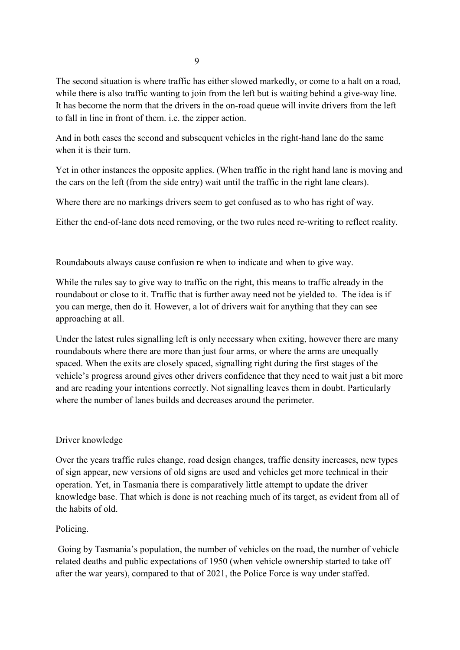The second situation is where traffic has either slowed markedly, or come to a halt on a road, while there is also traffic wanting to join from the left but is waiting behind a give-way line. It has become the norm that the drivers in the on-road queue will invite drivers from the left to fall in line in front of them. i.e. the zipper action.

And in both cases the second and subsequent vehicles in the right-hand lane do the same when it is their turn.

Yet in other instances the opposite applies. (When traffic in the right hand lane is moving and the cars on the left (from the side entry) wait until the traffic in the right lane clears).

Where there are no markings drivers seem to get confused as to who has right of way.

Either the end-of-lane dots need removing, or the two rules need re-writing to reflect reality.

Roundabouts always cause confusion re when to indicate and when to give way.

While the rules say to give way to traffic on the right, this means to traffic already in the roundabout or close to it. Traffic that is further away need not be yielded to. The idea is if you can merge, then do it. However, a lot of drivers wait for anything that they can see approaching at all.

Under the latest rules signalling left is only necessary when exiting, however there are many roundabouts where there are more than just four arms, or where the arms are unequally spaced. When the exits are closely spaced, signalling right during the first stages of the vehicle's progress around gives other drivers confidence that they need to wait just a bit more and are reading your intentions correctly. Not signalling leaves them in doubt. Particularly where the number of lanes builds and decreases around the perimeter.

# Driver knowledge

Over the years traffic rules change, road design changes, traffic density increases, new types of sign appear, new versions of old signs are used and vehicles get more technical in their operation. Yet, in Tasmania there is comparatively little attempt to update the driver knowledge base. That which is done is not reaching much of its target, as evident from all of the habits of old.

## Policing.

Going by Tasmania's population, the number of vehicles on the road, the number of vehicle related deaths and public expectations of 1950 (when vehicle ownership started to take off after the war years), compared to that of 2021, the Police Force is way under staffed.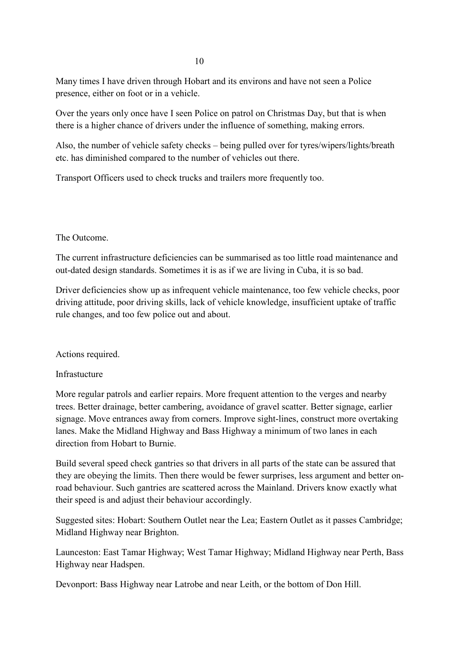Many times I have driven through Hobart and its environs and have not seen a Police presence, either on foot or in a vehicle.

Over the years only once have I seen Police on patrol on Christmas Day, but that is when there is a higher chance of drivers under the influence of something, making errors.

Also, the number of vehicle safety checks – being pulled over for tyres/wipers/lights/breath etc. has diminished compared to the number of vehicles out there.

Transport Officers used to check trucks and trailers more frequently too.

The Outcome.

The current infrastructure deficiencies can be summarised as too little road maintenance and out-dated design standards. Sometimes it is as if we are living in Cuba, it is so bad.

Driver deficiencies show up as infrequent vehicle maintenance, too few vehicle checks, poor driving attitude, poor driving skills, lack of vehicle knowledge, insufficient uptake of traffic rule changes, and too few police out and about.

Actions required.

## Infrastucture

More regular patrols and earlier repairs. More frequent attention to the verges and nearby trees. Better drainage, better cambering, avoidance of gravel scatter. Better signage, earlier signage. Move entrances away from corners. Improve sight-lines, construct more overtaking lanes. Make the Midland Highway and Bass Highway a minimum of two lanes in each direction from Hobart to Burnie.

Build several speed check gantries so that drivers in all parts of the state can be assured that they are obeying the limits. Then there would be fewer surprises, less argument and better onroad behaviour. Such gantries are scattered across the Mainland. Drivers know exactly what their speed is and adjust their behaviour accordingly.

Suggested sites: Hobart: Southern Outlet near the Lea; Eastern Outlet as it passes Cambridge; Midland Highway near Brighton.

Launceston: East Tamar Highway; West Tamar Highway; Midland Highway near Perth, Bass Highway near Hadspen.

Devonport: Bass Highway near Latrobe and near Leith, or the bottom of Don Hill.

10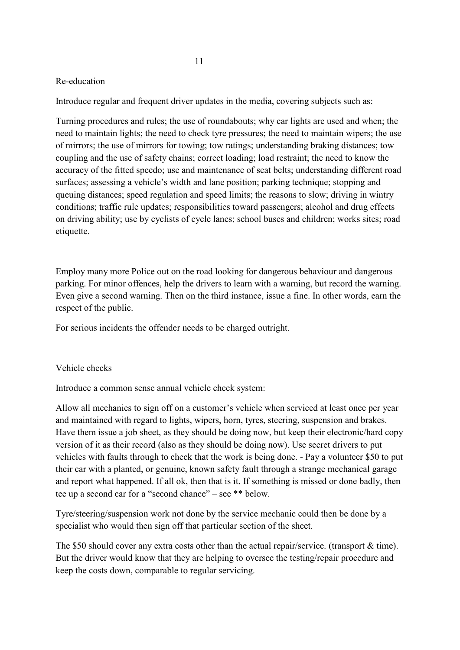#### Re-education

Introduce regular and frequent driver updates in the media, covering subjects such as:

Turning procedures and rules; the use of roundabouts; why car lights are used and when; the need to maintain lights; the need to check tyre pressures; the need to maintain wipers; the use of mirrors; the use of mirrors for towing; tow ratings; understanding braking distances; tow coupling and the use of safety chains; correct loading; load restraint; the need to know the accuracy of the fitted speedo; use and maintenance of seat belts; understanding different road surfaces; assessing a vehicle's width and lane position; parking technique; stopping and queuing distances; speed regulation and speed limits; the reasons to slow; driving in wintry conditions; traffic rule updates; responsibilities toward passengers; alcohol and drug effects on driving ability; use by cyclists of cycle lanes; school buses and children; works sites; road etiquette.

Employ many more Police out on the road looking for dangerous behaviour and dangerous parking. For minor offences, help the drivers to learn with a warning, but record the warning. Even give a second warning. Then on the third instance, issue a fine. In other words, earn the respect of the public.

For serious incidents the offender needs to be charged outright.

#### Vehicle checks

Introduce a common sense annual vehicle check system:

Allow all mechanics to sign off on a customer's vehicle when serviced at least once per year and maintained with regard to lights, wipers, horn, tyres, steering, suspension and brakes. Have them issue a job sheet, as they should be doing now, but keep their electronic/hard copy version of it as their record (also as they should be doing now). Use secret drivers to put vehicles with faults through to check that the work is being done. - Pay a volunteer \$50 to put their car with a planted, or genuine, known safety fault through a strange mechanical garage and report what happened. If all ok, then that is it. If something is missed or done badly, then tee up a second car for a "second chance" – see \*\* below.

Tyre/steering/suspension work not done by the service mechanic could then be done by a specialist who would then sign off that particular section of the sheet.

The \$50 should cover any extra costs other than the actual repair/service. (transport & time). But the driver would know that they are helping to oversee the testing/repair procedure and keep the costs down, comparable to regular servicing.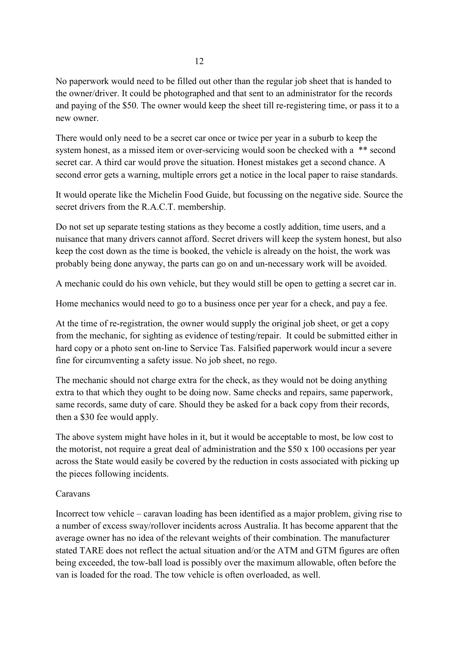No paperwork would need to be filled out other than the regular job sheet that is handed to the owner/driver. It could be photographed and that sent to an administrator for the records and paying of the \$50. The owner would keep the sheet till re-registering time, or pass it to a new owner.

There would only need to be a secret car once or twice per year in a suburb to keep the system honest, as a missed item or over-servicing would soon be checked with a \*\* second secret car. A third car would prove the situation. Honest mistakes get a second chance. A second error gets a warning, multiple errors get a notice in the local paper to raise standards.

It would operate like the Michelin Food Guide, but focussing on the negative side. Source the secret drivers from the R.A.C.T. membership.

Do not set up separate testing stations as they become a costly addition, time users, and a nuisance that many drivers cannot afford. Secret drivers will keep the system honest, but also keep the cost down as the time is booked, the vehicle is already on the hoist, the work was probably being done anyway, the parts can go on and un-necessary work will be avoided.

A mechanic could do his own vehicle, but they would still be open to getting a secret car in.

Home mechanics would need to go to a business once per year for a check, and pay a fee.

At the time of re-registration, the owner would supply the original job sheet, or get a copy from the mechanic, for sighting as evidence of testing/repair. It could be submitted either in hard copy or a photo sent on-line to Service Tas. Falsified paperwork would incur a severe fine for circumventing a safety issue. No job sheet, no rego.

The mechanic should not charge extra for the check, as they would not be doing anything extra to that which they ought to be doing now. Same checks and repairs, same paperwork, same records, same duty of care. Should they be asked for a back copy from their records, then a \$30 fee would apply.

The above system might have holes in it, but it would be acceptable to most, be low cost to the motorist, not require a great deal of administration and the \$50 x 100 occasions per year across the State would easily be covered by the reduction in costs associated with picking up the pieces following incidents.

### Caravans

Incorrect tow vehicle – caravan loading has been identified as a major problem, giving rise to a number of excess sway/rollover incidents across Australia. It has become apparent that the average owner has no idea of the relevant weights of their combination. The manufacturer stated TARE does not reflect the actual situation and/or the ATM and GTM figures are often being exceeded, the tow-ball load is possibly over the maximum allowable, often before the van is loaded for the road. The tow vehicle is often overloaded, as well.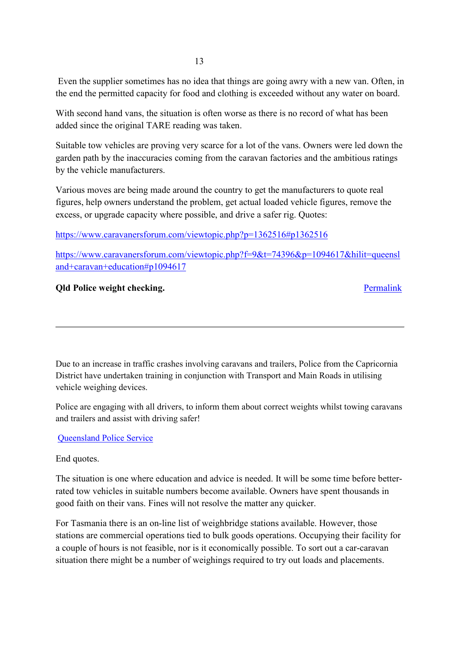Even the supplier sometimes has no idea that things are going awry with a new van. Often, in the end the permitted capacity for food and clothing is exceeded without any water on board.

With second hand vans, the situation is often worse as there is no record of what has been added since the original TARE reading was taken.

Suitable tow vehicles are proving very scarce for a lot of the vans. Owners were led down the garden path by the inaccuracies coming from the caravan factories and the ambitious ratings by the vehicle manufacturers.

Various moves are being made around the country to get the manufacturers to quote real figures, help owners understand the problem, get actual loaded vehicle figures, remove the excess, or upgrade capacity where possible, and drive a safer rig. Quotes:

<https://www.caravanersforum.com/viewtopic.php?p=1362516#p1362516>

[https://www.caravanersforum.com/viewtopic.php?f=9&t=74396&p=1094617&hilit=queensl](https://www.caravanersforum.com/viewtopic.php?f=9&t=74396&p=1094617&hilit=queensland+caravan+education#p1094617) [and+caravan+education#p1094617](https://www.caravanersforum.com/viewtopic.php?f=9&t=74396&p=1094617&hilit=queensland+caravan+education#p1094617)

# **Qld Police weight checking.** [Permalink](https://thegreynomads.activeboard.com/t67775975/qld-police-weight-checking/?page=1#comment-67775975)

Due to an increase in traffic crashes involving caravans and trailers, Police from the Capricornia District have undertaken training in conjunction with Transport and Main Roads in utilising vehicle weighing devices.

Police are engaging with all drivers, to inform them about correct weights whilst towing caravans and trailers and assist with driving safer!

## [Queensland Police Service](https://www.police.qld.gov.au/?fbclid=IwAR32qVrehJh-ZxXC23XcJ1F42BaEcDkY5YfyhupTmdg9NcxAM4iw9iqeBCQ)

# End quotes.

The situation is one where education and advice is needed. It will be some time before betterrated tow vehicles in suitable numbers become available. Owners have spent thousands in good faith on their vans. Fines will not resolve the matter any quicker.

For Tasmania there is an on-line list of weighbridge stations available. However, those stations are commercial operations tied to bulk goods operations. Occupying their facility for a couple of hours is not feasible, nor is it economically possible. To sort out a car-caravan situation there might be a number of weighings required to try out loads and placements.